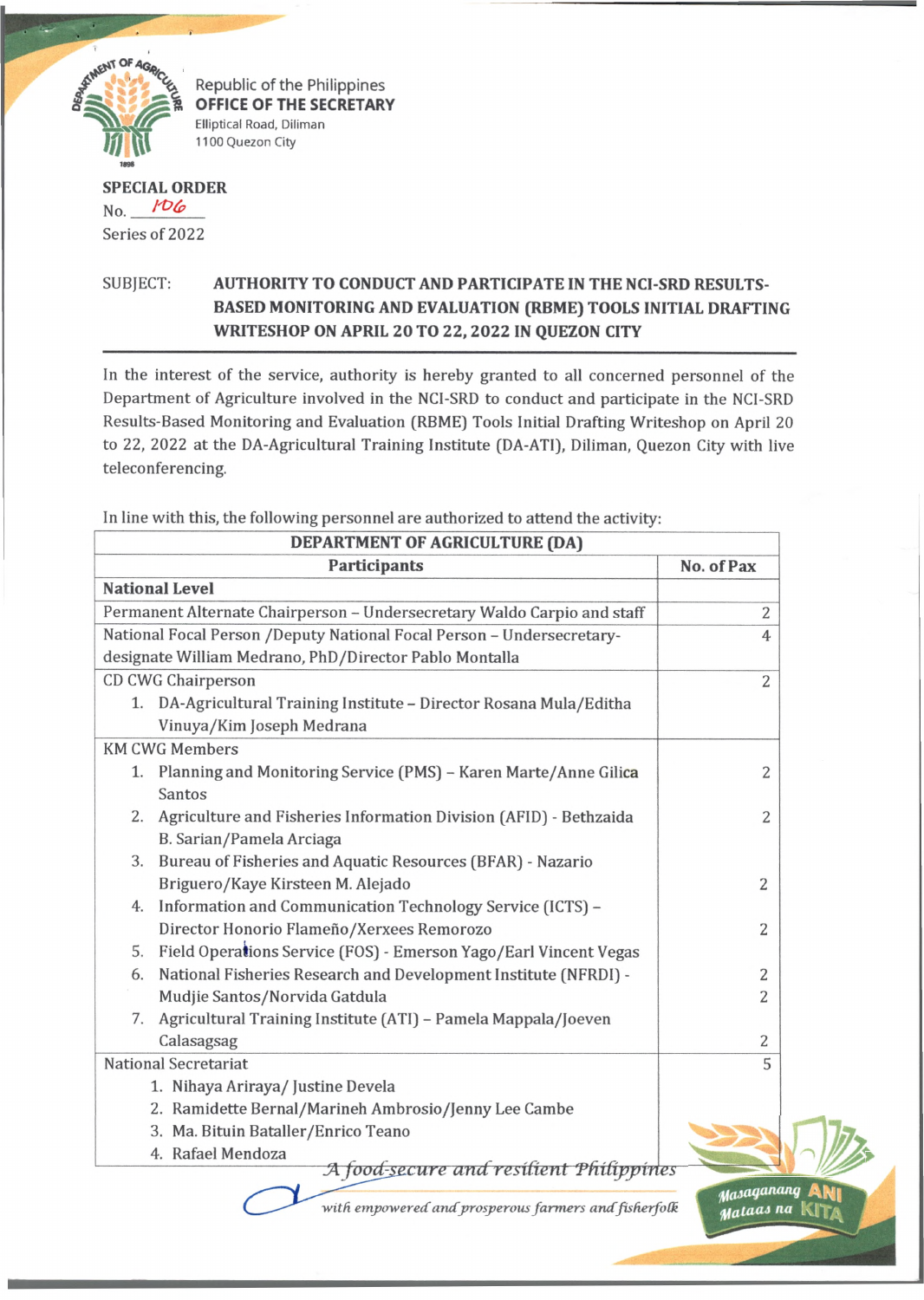

Republic of the Philippines **OFFICE OF THE SECRETARY Elliptical Road, Diliman 1100 Quezon City**

## **SPECIAL ORDER** No. *^OCp* Series of 2022

## SUBJECT: **AUTHORITY TO CONDUCT AND PARTICIPATE IN THE NCI-SRD RESULTS-BASED MONITORING AND EVALUATION (RBME) TOOLS INITIAL DRAFTING WRITESHOP ON APRIL 20 TO 22, 2022 IN QUEZON CITY**

In the interest of the service, authority is hereby granted to all concerned personnel of the Department of Agriculture involved in the NCI-SRD to conduct and participate in the NCI-SRD Results-Based Monitoring and Evaluation (RBME) Tools Initial Drafting Writeshop on April 20 to 22, 2022 at the DA-Agricultural Training Institute (DA-ATI), Diliman, Quezon City with live teleconferencing.

In line with this, the following personnel are authorized to attend the activity:

| DEPARTMENT OF AGRICULTURE (DA)                                                                      |                |  |
|-----------------------------------------------------------------------------------------------------|----------------|--|
| <b>Participants</b>                                                                                 | No. of Pax     |  |
| <b>National Level</b>                                                                               |                |  |
| Permanent Alternate Chairperson - Undersecretary Waldo Carpio and staff                             | 2              |  |
| National Focal Person /Deputy National Focal Person - Undersecretary-                               | $\overline{4}$ |  |
| designate William Medrano, PhD/Director Pablo Montalla                                              |                |  |
| CD CWG Chairperson                                                                                  | $\overline{2}$ |  |
| 1. DA-Agricultural Training Institute - Director Rosana Mula/Editha<br>Vinuya/Kim Joseph Medrana    |                |  |
| <b>KM CWG Members</b>                                                                               |                |  |
| 1. Planning and Monitoring Service (PMS) - Karen Marte/Anne Gilica<br>Santos                        | 2              |  |
| 2.<br>Agriculture and Fisheries Information Division (AFID) - Bethzaida<br>B. Sarian/Pamela Arciaga | 2              |  |
| Bureau of Fisheries and Aquatic Resources (BFAR) - Nazario<br>3.                                    |                |  |
| Briguero/Kaye Kirsteen M. Alejado                                                                   | 2              |  |
| Information and Communication Technology Service (ICTS) -<br>4.                                     |                |  |
| Director Honorio Flameño/Xerxees Remorozo                                                           | 2              |  |
| Field Operations Service (FOS) - Emerson Yago/Earl Vincent Vegas<br>5.                              |                |  |
| National Fisheries Research and Development Institute (NFRDI) -<br>6.                               | 2              |  |
| Mudjie Santos/Norvida Gatdula                                                                       | 2              |  |
| Agricultural Training Institute (ATI) - Pamela Mappala/Joeven<br>7.                                 |                |  |
| Calasagsag                                                                                          | $\overline{c}$ |  |
| <b>National Secretariat</b>                                                                         | 5              |  |
| 1. Nihaya Ariraya/ Justine Devela                                                                   |                |  |
| 2. Ramidette Bernal/Marineh Ambrosio/Jenny Lee Cambe                                                |                |  |
| 3. Ma. Bituin Bataller/Enrico Teano                                                                 |                |  |
| 4. Rafael Mendoza<br>A food-secure and resilient Philippines                                        |                |  |
|                                                                                                     |                |  |
| with empowered and prosperous farmers and fisherfolk                                                | Mataas na      |  |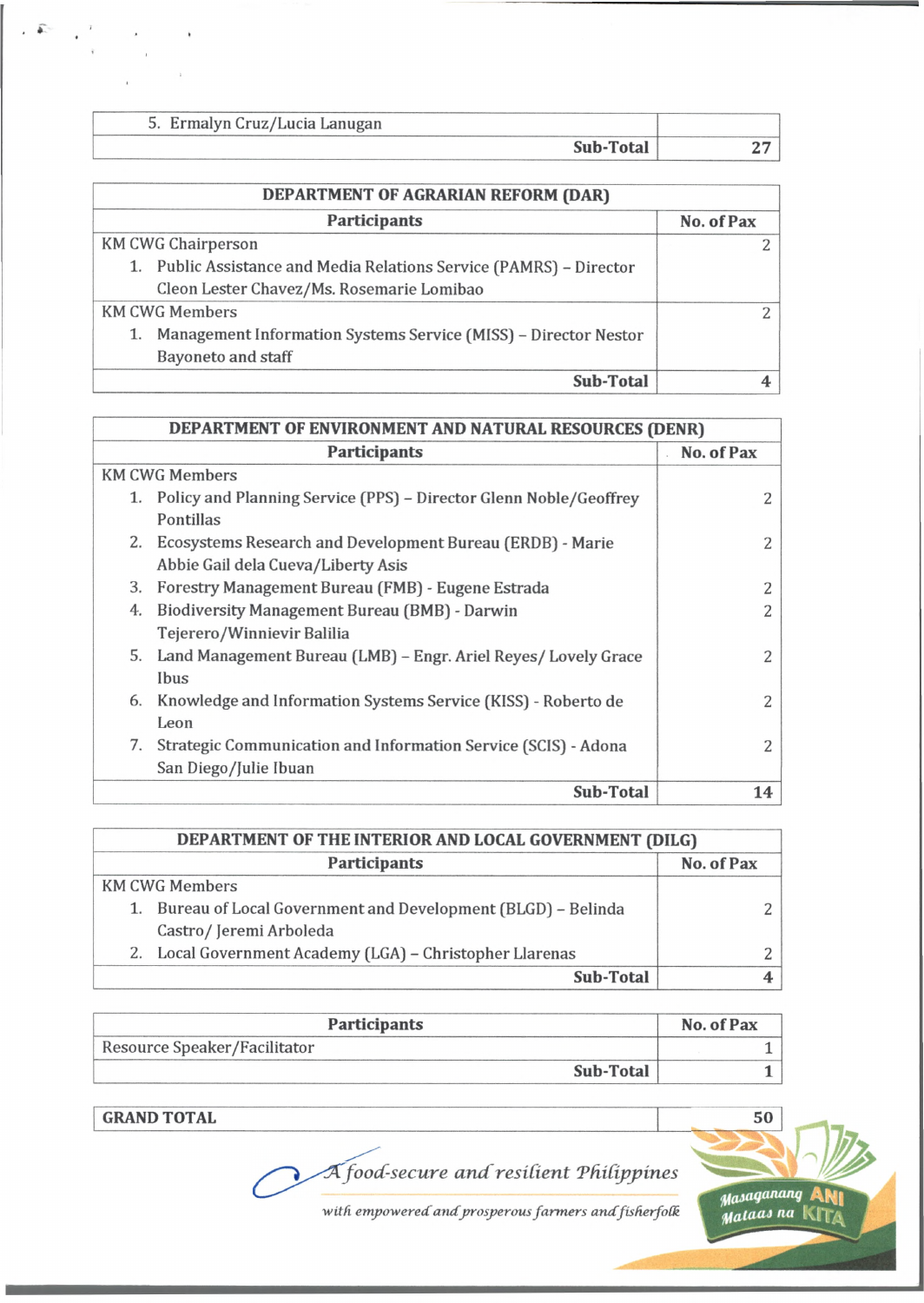| 5. Ermalyn Cruz/Lucia Lanugan |           |  |
|-------------------------------|-----------|--|
|                               | Sub-Total |  |

| DEPARTMENT OF AGRARIAN REFORM (DAR)                                   |            |  |
|-----------------------------------------------------------------------|------------|--|
| <b>Participants</b>                                                   | No. of Pax |  |
| <b>KM CWG Chairperson</b>                                             |            |  |
| 1. Public Assistance and Media Relations Service (PAMRS) – Director   |            |  |
| Cleon Lester Chavez/Ms. Rosemarie Lomibao                             |            |  |
| <b>KM CWG Members</b>                                                 |            |  |
| Management Information Systems Service (MISS) - Director Nestor<br>1. |            |  |
| <b>Bayoneto and staff</b>                                             |            |  |
| Sub-Total                                                             |            |  |

| DEPARTMENT OF ENVIRONMENT AND NATURAL RESOURCES (DENR) |                                                                                                    |            |
|--------------------------------------------------------|----------------------------------------------------------------------------------------------------|------------|
|                                                        | <b>Participants</b>                                                                                | No. of Pax |
|                                                        | <b>KM CWG Members</b>                                                                              |            |
|                                                        | 1. Policy and Planning Service (PPS) – Director Glenn Noble/Geoffrey<br>Pontillas                  |            |
|                                                        | 2. Ecosystems Research and Development Bureau (ERDB) - Marie<br>Abbie Gail dela Cueva/Liberty Asis | 2          |
| 3.                                                     | Forestry Management Bureau (FMB) - Eugene Estrada                                                  |            |
| 4.                                                     | <b>Biodiversity Management Bureau (BMB) - Darwin</b><br>Tejerero/Winnievir Balilia                 | 2          |
|                                                        | 5. Land Management Bureau (LMB) - Engr. Ariel Reyes/ Lovely Grace<br>Ibus                          | 2          |
| 6.                                                     | Knowledge and Information Systems Service (KISS) - Roberto de<br>Leon                              | 2          |
| 7.                                                     | Strategic Communication and Information Service (SCIS) - Adona<br>San Diego/Julie Ibuan            | 2          |
|                                                        | Sub-Total                                                                                          | 14         |

| DEPARTMENT OF THE INTERIOR AND LOCAL GOVERNMENT (DILG) |                                                                |            |
|--------------------------------------------------------|----------------------------------------------------------------|------------|
|                                                        | Participants                                                   | No. of Pax |
|                                                        | <b>KM CWG Members</b>                                          |            |
|                                                        | 1. Bureau of Local Government and Development (BLGD) - Belinda |            |
|                                                        | Castro/Jeremi Arboleda                                         |            |
|                                                        | 2. Local Government Academy (LGA) - Christopher Llarenas       |            |
|                                                        | Sub-Total                                                      |            |

| <b>Participants</b>          | No. of Pax |
|------------------------------|------------|
| Resource Speaker/Facilitator |            |
| Sub-Total                    |            |

**GRAND TOTAL**

₽

*foocC-secure a n d residen t Tfridppines* d